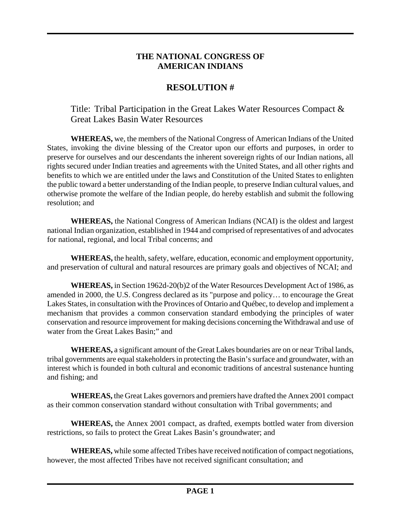## **THE NATIONAL CONGRESS OF AMERICAN INDIANS**

## **RESOLUTION #**

Title: Tribal Participation in the Great Lakes Water Resources Compact & Great Lakes Basin Water Resources

**WHEREAS,** we, the members of the National Congress of American Indians of the United States, invoking the divine blessing of the Creator upon our efforts and purposes, in order to preserve for ourselves and our descendants the inherent sovereign rights of our Indian nations, all rights secured under Indian treaties and agreements with the United States, and all other rights and benefits to which we are entitled under the laws and Constitution of the United States to enlighten the public toward a better understanding of the Indian people, to preserve Indian cultural values, and otherwise promote the welfare of the Indian people, do hereby establish and submit the following resolution; and

**WHEREAS,** the National Congress of American Indians (NCAI) is the oldest and largest national Indian organization, established in 1944 and comprised of representatives of and advocates for national, regional, and local Tribal concerns; and

 **WHEREAS,** the health, safety, welfare, education, economic and employment opportunity, and preservation of cultural and natural resources are primary goals and objectives of NCAI; and

**WHEREAS,** in Section 1962d-20(b)2 of the Water Resources Development Act of 1986, as amended in 2000, the U.S. Congress declared as its "purpose and policy… to encourage the Great Lakes States, in consultation with the Provinces of Ontario and Québec, to develop and implement a mechanism that provides a common conservation standard embodying the principles of water conservation and resource improvement for making decisions concerning the Withdrawal and use of water from the Great Lakes Basin;" and

**WHEREAS,** a significant amount of the Great Lakes boundaries are on or near Tribal lands, tribal governments are equal stakeholders in protecting the Basin's surface and groundwater, with an interest which is founded in both cultural and economic traditions of ancestral sustenance hunting and fishing; and

**WHEREAS,** the Great Lakes governors and premiers have drafted the Annex 2001 compact as their common conservation standard without consultation with Tribal governments; and

**WHEREAS,** the Annex 2001 compact, as drafted, exempts bottled water from diversion restrictions, so fails to protect the Great Lakes Basin's groundwater; and

**WHEREAS,** while some affected Tribes have received notification of compact negotiations, however, the most affected Tribes have not received significant consultation; and